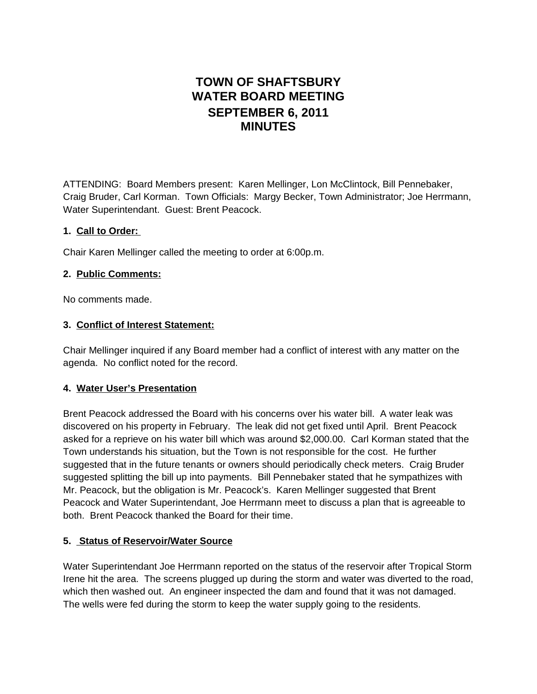# **TOWN OF SHAFTSBURY WATER BOARD MEETING SEPTEMBER 6, 2011 MINUTES**

ATTENDING: Board Members present: Karen Mellinger, Lon McClintock, Bill Pennebaker, Craig Bruder, Carl Korman. Town Officials: Margy Becker, Town Administrator; Joe Herrmann, Water Superintendant. Guest: Brent Peacock.

## **1. Call to Order:**

Chair Karen Mellinger called the meeting to order at 6:00p.m.

### **2. Public Comments:**

No comments made.

## **3. Conflict of Interest Statement:**

Chair Mellinger inquired if any Board member had a conflict of interest with any matter on the agenda. No conflict noted for the record.

## **4. Water User's Presentation**

Brent Peacock addressed the Board with his concerns over his water bill. A water leak was discovered on his property in February. The leak did not get fixed until April. Brent Peacock asked for a reprieve on his water bill which was around \$2,000.00. Carl Korman stated that the Town understands his situation, but the Town is not responsible for the cost. He further suggested that in the future tenants or owners should periodically check meters. Craig Bruder suggested splitting the bill up into payments. Bill Pennebaker stated that he sympathizes with Mr. Peacock, but the obligation is Mr. Peacock's. Karen Mellinger suggested that Brent Peacock and Water Superintendant, Joe Herrmann meet to discuss a plan that is agreeable to both. Brent Peacock thanked the Board for their time.

## **5. Status of Reservoir/Water Source**

Water Superintendant Joe Herrmann reported on the status of the reservoir after Tropical Storm Irene hit the area. The screens plugged up during the storm and water was diverted to the road, which then washed out. An engineer inspected the dam and found that it was not damaged. The wells were fed during the storm to keep the water supply going to the residents.